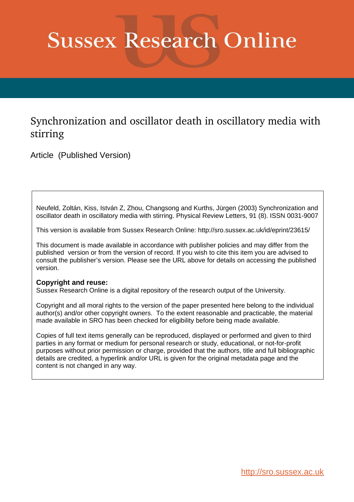## **Sussex Research Online**

## Synchronization and oscillator death in oscillatory media with stirring

Article (Published Version)

Neufeld, Zoltán, Kiss, István Z, Zhou, Changsong and Kurths, Jürgen (2003) Synchronization and oscillator death in oscillatory media with stirring. Physical Review Letters, 91 (8). ISSN 0031-9007

This version is available from Sussex Research Online: http://sro.sussex.ac.uk/id/eprint/23615/

This document is made available in accordance with publisher policies and may differ from the published version or from the version of record. If you wish to cite this item you are advised to consult the publisher's version. Please see the URL above for details on accessing the published version.

## **Copyright and reuse:**

Sussex Research Online is a digital repository of the research output of the University.

Copyright and all moral rights to the version of the paper presented here belong to the individual author(s) and/or other copyright owners. To the extent reasonable and practicable, the material made available in SRO has been checked for eligibility before being made available.

Copies of full text items generally can be reproduced, displayed or performed and given to third parties in any format or medium for personal research or study, educational, or not-for-profit purposes without prior permission or charge, provided that the authors, title and full bibliographic details are credited, a hyperlink and/or URL is given for the original metadata page and the content is not changed in any way.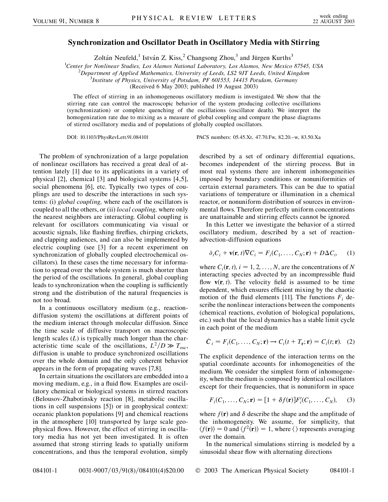## **Synchronization and Oscillator Death in Oscillatory Media with Stirring**

Zoltán Neufeld,<sup>1</sup> István Z. Kiss,<sup>2</sup> Changsong Zhou,<sup>3</sup> and Jürgen Kurths<sup>3</sup>

<sup>1</sup>Center for Nonlinear Studies, Los Alamos National Laboratory, Los Alamos, New Mexico 87545, USA<br><sup>2</sup> Department of Applied Mathematics, University of Leeds, J.S.2 01T Leeds, United Kingdom

*Department of Applied Mathematics, University of Leeds, LS2 9JT Leeds, United Kingdom* <sup>3</sup>

*Institute of Physics, University of Potsdam, PF 601553, 14415 Potsdam, Germany*

(Received 6 May 2003; published 19 August 2003)

The effect of stirring in an inhomogeneous oscillatory medium is investigated. We show that the stirring rate can control the macroscopic behavior of the system producing collective oscillations (synchronization) or complete quenching of the oscillations (oscillator death). We interpret the homogenization rate due to mixing as a measure of global coupling and compare the phase diagrams of stirred oscillatory media and of populations of globally coupled oscillators.

DOI: 10.1103/PhysRevLett.91.084101 PACS numbers: 05.45.Xt, 47.70.Fw, 82.20.–w, 83.50.Xa

The problem of synchronization of a large population of nonlinear oscillators has received a great deal of attention lately [1] due to its applications in a variety of physical [2], chemical [3] and biological systems [4,5], social phenomena [6], etc. Typically two types of couplings are used to describe the interactions in such systems: (i) *global coupling,* where each of the oscillators is coupled to all the others, or (ii) *local coupling,* where only the nearest neighbors are interacting. Global coupling is relevant for oscillators communicating via visual or acoustic signals, like flashing fireflies, chirping crickets, and clapping audiences, and can also be implemented by electric coupling (see [3] for a recent experiment on synchronization of globally coupled electrochemical oscillators). In these cases the time necessary for information to spread over the whole system is much shorter than the period of the oscillations. In general, global coupling leads to synchronization when the coupling is sufficiently strong and the distribution of the natural frequencies is not too broad.

In a continuous oscillatory medium (e.g., reactiondiffusion system) the oscillations at different points of the medium interact through molecular diffusion. Since the time scale of diffusive transport on macroscopic length scales (*L*) is typically much longer than the characteristic time scale of the oscillations,  $L^2/D \gg T_{\text{osc}}$ , diffusion is unable to produce synchronized oscillations over the whole domain and the only coherent behavior appears in the form of propagating waves [7,8].

In certain situations the oscillators are embedded into a moving medium, e.g., in a fluid flow. Examples are oscillatory chemical or biological systems in stirred reactors (Belousov-Zhabotinsky reaction [8], metabolic oscillations in cell suspensions [5]) or in geophysical context: oceanic plankton populations [9] and chemical reactions in the atmosphere [10] transported by large scale geophysical flows. However, the effect of stirring in oscillatory media has not yet been investigated. It is often assumed that strong stirring leads to spatially uniform concentrations, and thus the temporal evolution, simply described by a set of ordinary differential equations, becomes independent of the stirring process. But in most real systems there are inherent inhomogeneities imposed by boundary conditions or nonuniformities of certain external parameters. This can be due to spatial variations of temperature or illumination in a chemical reactor, or nonuniform distribution of sources in environmental flows. Therefore perfectly uniform concentrations are unattainable and stirring effects cannot be ignored.

In this Letter we investigate the behavior of a stirred oscillatory medium, described by a set of reactionadvection-diffusion equations

$$
\partial_t C_i + \mathbf{v}(\mathbf{r}, t) \nabla C_i = F_i(C_1, \dots, C_N; \mathbf{r}) + D \Delta C_i, \quad (1)
$$

where  $C_i(\mathbf{r}, t)$ ,  $i = 1, 2, \ldots, N$ , are the concentrations of N interacting species advected by an incompressible fluid flow  $\bf{v}$ ( $\bf{r}$ ,  $\bf{t}$ ). The velocity field is assumed to be time dependent, which ensures efficient mixing by the chaotic motion of the fluid elements [11]. The functions  $F_i$  describe the nonlinear interactions between the components (chemical reactions, evolution of biological populations, etc.) such that the local dynamics has a stable limit cycle in each point of the medium

$$
\dot{C}_i = F_i(C_1, \dots, C_N; \mathbf{r}) \rightarrow C_i(t + T_{\mathbf{r}}; \mathbf{r}) = C_i(t; \mathbf{r}). \tag{2}
$$

The explicit dependence of the interaction terms on the spatial coordinate accounts for inhomogeneities of the medium. We consider the simplest form of inhomogeneity, when the medium is composed by identical oscillators except for their frequencies, that is nonuniform in space

$$
F_i(C_1, ..., C_N; \mathbf{r}) = [1 + \delta f(\mathbf{r})] F'_i(C_1, ..., C_N), \quad (3)
$$

where  $f(\mathbf{r})$  and  $\delta$  describe the shape and the amplitude of the inhomogeneity. We assume, for simplicity, that  $\langle f(\mathbf{r}) \rangle = 0$  and  $\langle f^2(\mathbf{r}) \rangle = 1$ , where  $\langle \rangle$  represents averaging over the domain.

In the numerical simulations stirring is modeled by a sinusoidal shear flow with alternating directions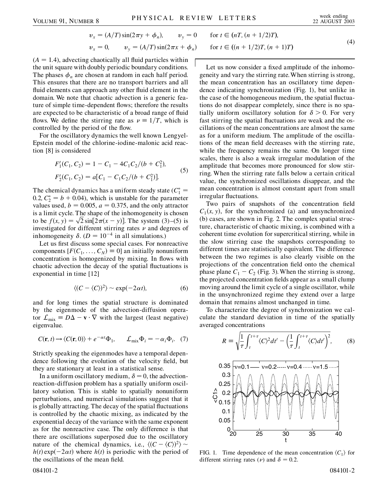$$
v_x = (A/T)\sin(2\pi y + \phi_n), \qquad v_y = 0 \qquad \text{for } t \in (nT, (n + 1/2)T),
$$
  

$$
v_x = 0, \qquad v_y = (A/T)\sin(2\pi x + \phi_n) \qquad \text{for } t \in ((n + 1/2)T, (n + 1)T)
$$
 (4)

 $(A = 1.4)$ , advecting chaotically all fluid particles within the unit square with doubly periodic boundary conditions. The phases  $\phi_n$  are chosen at random in each half period. This ensures that there are no transport barriers and all fluid elements can approach any other fluid element in the domain. We note that chaotic advection is a generic feature of simple time-dependent flows; therefore the results are expected to be characteristic of a broad range of fluid flows. We define the stirring rate as  $\nu \equiv 1/T$ , which is controlled by the period of the flow.

For the oscillatory dynamics the well known Lengyel-Epstein model of the chlorine-iodine-malonic acid reaction [8] is considered

$$
F'_{1}(C_{1}, C_{2}) = 1 - C_{1} - 4C_{1}C_{2}/(b + C_{1}^{2}),
$$
  
\n
$$
F'_{2}(C_{1}, C_{2}) = a[C_{1} - C_{1}C_{2}/(b + C_{1}^{2})].
$$
\n(5)

The chemical dynamics has a uniform steady state  $(C_1^* =$ 0.2,  $C_2^* = b + 0.04$ , which is unstable for the parameter values used,  $b = 0.005$ ,  $a = 0.375$ , and the only attractor is a limit cycle. The shape of the inhomogeneity is chosen is a limit cycle. The shape of the inhomogeneity is chosen<br>to be  $f(x, y) = \sqrt{2} \sin[2\pi(x - y)]$ . The system (3)–(5) is investigated for different stirring rates  $\nu$  and degrees of inhomogeneity  $\delta$ . ( $D = 10^{-4}$  in all simulations.)

Let us first discuss some special cases. For nonreactive components  $[F(C_1, \ldots, C_N) \equiv 0]$  an initially nonuniform concentration is homogenized by mixing. In flows with chaotic advection the decay of the spatial fluctuations is exponential in time [12]

$$
\langle (C - \langle C \rangle)^2 \rangle \sim \exp(-2\alpha t), \tag{6}
$$

and for long times the spatial structure is dominated by the eigenmode of the advection-diffusion operator  $\mathcal{L}_{\text{mix}} = D\Delta - \mathbf{v} \cdot \nabla$  with the largest (least negative) eigenvalue.

$$
C(\mathbf{r}, t) \to \langle C(\mathbf{r}, 0) \rangle + e^{-\alpha t} \Phi_1, \qquad \mathcal{L}_{\text{mix}} \Phi_i = -\alpha_i \Phi_i. \tag{7}
$$

Strictly speaking the eigenmodes have a temporal dependence following the evolution of the velocity field, but they are stationary at least in a statistical sense.

In a uniform oscillatory medium,  $\delta = 0$ , the advectionreaction-diffusion problem has a spatially uniform oscillatory solution. This is stable to spatially nonuniform perturbations, and numerical simulations suggest that it is globally attracting. The decay of the spatial fluctuations is controlled by the chaotic mixing, as indicated by the exponential decay of the variance with the same exponent as for the nonreactive case. The only difference is that there are oscillations superposed due to the oscillatory nature of the chemical dynamics, i.e.,  $\langle (C - \langle C \rangle)^2 \rangle$  ~  $h(t) \exp(-2\alpha t)$  where  $h(t)$  is periodic with the period of the oscillations of the mean field.

Let us now consider a fixed amplitude of the inhomogeneity and vary the stirring rate.When stirring is strong, the mean concentration has an oscillatory time dependence indicating synchronization (Fig. 1), but unlike in the case of the homogeneous medium, the spatial fluctuations do not disappear completely, since there is no spatially uniform oscillatory solution for  $\delta > 0$ . For very fast stirring the spatial fluctuations are weak and the oscillations of the mean concentrations are almost the same as for a uniform medium. The amplitude of the oscillations of the mean field decreases with the stirring rate, while the frequency remains the same. On longer time scales, there is also a weak irregular modulation of the amplitude that becomes more pronounced for slow stirring. When the stirring rate falls below a certain critical value, the synchronized oscillations disappear, and the mean concentration is almost constant apart from small irregular fluctuations.

Two pairs of snapshots of the concentration field  $C_1(x, y)$ , for the synchronized (a) and unsynchronized (b) cases, are shown in Fig. 2. The complex spatial structure, characteristic of chaotic mixing, is combined with a coherent time evolution for supercritical stirring, while in the slow stirring case the snapshots corresponding to different times are statistically equivalent. The difference between the two regimes is also clearly visible on the projections of the concentration field onto the chemical phase plane  $C_1 - C_2$  (Fig. 3). When the stirring is strong, the projected concentration fields appear as a small clump moving around the limit cycle of a single oscillator, while in the unsynchronized regime they extend over a large domain that remains almost unchanged in time.

To characterize the degree of synchronization we calculate the standard deviation in time of the spatially averaged concentrations

1

 $\int t+\tau$ 

 $\sqrt{1-f^{t+\tau}}$ ,  $\sqrt{2}$ ,  $\sqrt{1-f^{t+\tau}}$ ,  $\sqrt{2}$ 

 $\frac{1}{\sqrt{1}}$ 

 $\int t+\tau$ 



FIG. 1. Time dependence of the mean concentration  $\langle C_1 \rangle$  for different stirring rates ( $\nu$ ) and  $\delta = 0.2$ .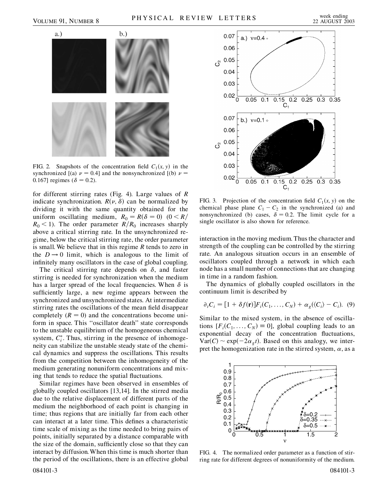

FIG. 2. Snapshots of the concentration field  $C_1(x, y)$  in the synchronized  $[(a)$   $\nu = 0.4]$  and the nonsynchronized  $[(b)$   $\nu =$ 0.167] regimes ( $\delta = 0.2$ ).

for different stirring rates (Fig. 4). Large values of *R* indicate synchronization.  $R(\nu, \delta)$  can be normalized by dividing it with the same quantity obtained for the uniform oscillating medium,  $R_0 = R(\delta = 0)$  (0 < R/  $R_0$  < 1). The order parameter  $R/R_0$  increases sharply above a critical stirring rate. In the unsynchronized regime, below the critical stirring rate, the order parameter is small. We believe that in this regime *R* tends to zero in the  $D \rightarrow 0$  limit, which is analogous to the limit of infinitely many oscillators in the case of global coupling.

The critical stirring rate depends on  $\delta$ , and faster stirring is needed for synchronization when the medium has a larger spread of the local frequencies. When  $\delta$  is sufficiently large, a new regime appears between the synchronized and unsynchronized states. At intermediate stirring rates the oscillations of the mean field disappear completely  $(R = 0)$  and the concentrations become uniform in space. This ''oscillator death'' state corresponds to the unstable equilibrium of the homogeneous chemical system,  $C_i^*$ . Thus, stirring in the presence of inhomogeneity can stabilize the unstable steady state of the chemical dynamics and suppress the oscillations. This results from the competition between the inhomogeneity of the medium generating nonuniform concentrations and mixing that tends to reduce the spatial fluctuations.

Similar regimes have been observed in ensembles of globally coupled oscillators [13,14]. In the stirred media due to the relative displacement of different parts of the medium the neighborhood of each point is changing in time; thus regions that are initially far from each other can interact at a later time. This defines a characteristic time scale of mixing as the time needed to bring pairs of points, initially separated by a distance comparable with the size of the domain, sufficiently close so that they can interact by diffusion.When this time is much shorter than the period of the oscillations, there is an effective global



FIG. 3. Projection of the concentration field  $C_1(x, y)$  on the chemical phase plane  $C_1 - C_2$  in the synchronized (a) and nonsynchronized (b) cases,  $\delta = 0.2$ . The limit cycle for a single oscillator is also shown for reference.

interaction in the moving medium. Thus the character and strength of the coupling can be controlled by the stirring rate. An analogous situation occurs in an ensemble of oscillators coupled through a network in which each node has a small number of connections that are changing in time in a random fashion.

The dynamics of globally coupled oscillators in the continuum limit is described by

$$
\partial_t C_i = [1 + \delta f(\mathbf{r})] F_i(C_1, \dots, C_N) + \alpha_g(\langle C_i \rangle - C_i). \tag{9}
$$

Similar to the mixed system, in the absence of oscillations  $[F_i(C_1, \ldots, C_N) \equiv 0]$ , global coupling leads to an exponential decay of the concentration fluctuations,  $Var(C) \sim exp(-2\alpha_g t)$ . Based on this analogy, we interpret the homogenization rate in the stirred system,  $\alpha$ , as a



FIG. 4. The normalized order parameter as a function of stirring rate for different degrees of nonuniformity of the medium.